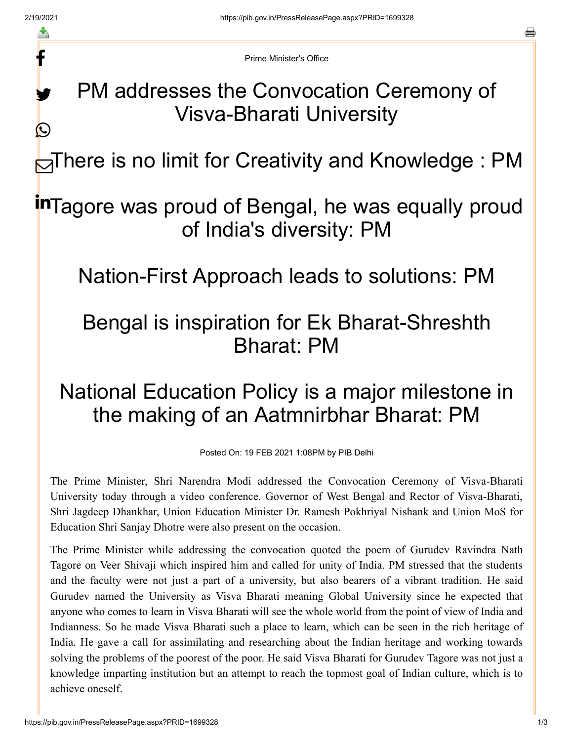f

y.

 $\bigcirc$ 

o

Prime Minister's Office

## PM addresses the Convocation Ceremony of Visva-Bharati University

**⊟There is no limit for Creativity and Knowledge : PM** 

## inTagore was proud of Bengal, he was equally proud of India's diversity: PM

Nation-First Approach leads to solutions: PM

## Bengal is inspiration for Ek Bharat-Shreshth Bharat: PM

## National Education Policy is a major milestone in the making of an Aatmnirbhar Bharat: PM

Posted On: 19 FEB 2021 1:08PM by PIB Delhi

The Prime Minister, Shri Narendra Modi addressed the Convocation Ceremony of Visva-Bharati University today through a video conference. Governor of West Bengal and Rector of Visva-Bharati, Shri Jagdeep Dhankhar, Union Education Minister Dr. Ramesh Pokhriyal Nishank and Union MoS for Education Shri Sanjay Dhotre were also present on the occasion.

The Prime Minister while addressing the convocation quoted the poem of Gurudev Ravindra Nath Tagore on Veer Shivaji which inspired him and called for unity of India. PM stressed that the students and the faculty were not just a part of a university, but also bearers of a vibrant tradition. He said Gurudev named the University as Visva Bharati meaning Global University since he expected that anyone who comes to learn in Visva Bharati will see the whole world from the point of view of India and Indianness. So he made Visva Bharati such a place to learn, which can be seen in the rich heritage of India. He gave a call for assimilating and researching about the Indian heritage and working towards solving the problems of the poorest of the poor. He said Visva Bharati for Gurudev Tagore was not just a knowledge imparting institution but an attempt to reach the topmost goal of Indian culture, which is to achieve oneself.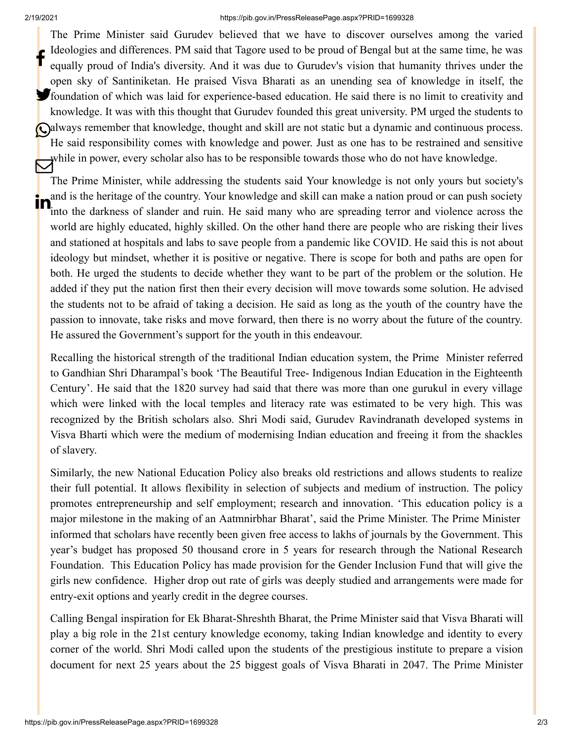The Prime Minister said Gurudev believed that we have to discover ourselves among the varied Ideologies and differences. PM said that Tagore used to be proud of Bengal but at the same time, he was equally proud of India's diversity. And it was due to Gurudev's vision that humanity thrives under the open sky of Santiniketan. He praised Visva Bharati as an unending sea of knowledge in itself, the foundation of which was laid for experience-based education. He said there is no limit to creativity and knowledge. It was with this thought that Gurudev founded this great university. PM urged the students to Calways remember that knowledge, thought and skill are not static but a dynamic and continuous process. He said responsibility comes with knowledge and power. Just as one has to be restrained and sensitive while in power, every scholar also has to be responsible towards those who do not have knowledge. f

The Prime Minister, while addressing the students said Your knowledge is not only yours but society's and is the heritage of the country. Your knowledge and skill can make a nation proud or can push society into the darkness of slander and ruin. He said many who are spreading terror and violence across the world are highly educated, highly skilled. On the other hand there are people who are risking their lives and stationed at hospitals and labs to save people from a pandemic like COVID. He said this is not about ideology but mindset, whether it is positive or negative. There is scope for both and paths are open for both. He urged the students to decide whether they want to be part of the problem or the solution. He added if they put the nation first then their every decision will move towards some solution. He advised the students not to be afraid of taking a decision. He said as long as the youth of the country have the passion to innovate, take risks and move forward, then there is no worry about the future of the country. He assured the Government's support for the youth in this endeavour. in

Recalling the historical strength of the traditional Indian education system, the Prime Minister referred to Gandhian Shri Dharampal's book 'The Beautiful Tree- Indigenous Indian Education in the Eighteenth Century'. He said that the 1820 survey had said that there was more than one gurukul in every village which were linked with the local temples and literacy rate was estimated to be very high. This was recognized by the British scholars also. Shri Modi said, Gurudev Ravindranath developed systems in Visva Bharti which were the medium of modernising Indian education and freeing it from the shackles of slavery.

Similarly, the new National Education Policy also breaks old restrictions and allows students to realize their full potential. It allows flexibility in selection of subjects and medium of instruction. The policy promotes entrepreneurship and self employment; research and innovation. 'This education policy is a major milestone in the making of an Aatmnirbhar Bharat', said the Prime Minister. The Prime Minister informed that scholars have recently been given free access to lakhs of journals by the Government. This year's budget has proposed 50 thousand crore in 5 years for research through the National Research Foundation. This Education Policy has made provision for the Gender Inclusion Fund that will give the girls new confidence. Higher drop out rate of girls was deeply studied and arrangements were made for entry-exit options and yearly credit in the degree courses.

Calling Bengal inspiration for Ek Bharat-Shreshth Bharat, the Prime Minister said that Visva Bharati will play a big role in the 21st century knowledge economy, taking Indian knowledge and identity to every corner of the world. Shri Modi called upon the students of the prestigious institute to prepare a vision document for next 25 years about the 25 biggest goals of Visva Bharati in 2047. The Prime Minister